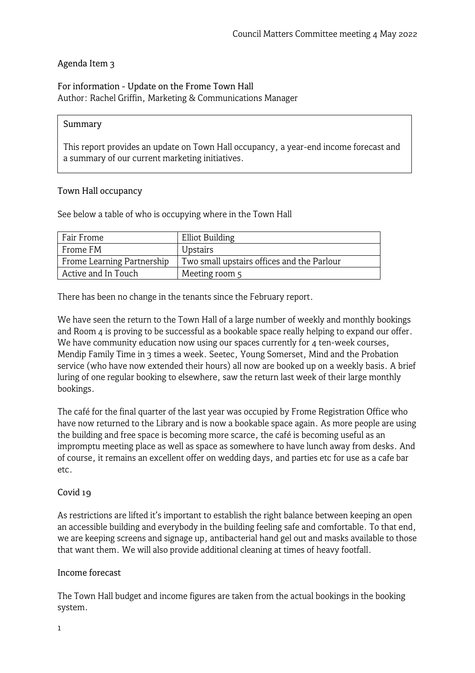## Agenda Item 3

## For information - Update on the Frome Town Hall Author: Rachel Griffin, Marketing & Communications Manager

#### Summary

This report provides an update on Town Hall occupancy, a year-end income forecast and a summary of our current marketing initiatives.

### Town Hall occupancy

See below a table of who is occupying where in the Town Hall

| Fair Frome                 | <b>Elliot Building</b>                     |
|----------------------------|--------------------------------------------|
| Frome FM                   | Upstairs                                   |
| Frome Learning Partnership | Two small upstairs offices and the Parlour |
| Active and In Touch        | Meeting room 5                             |

There has been no change in the tenants since the February report.

We have seen the return to the Town Hall of a large number of weekly and monthly bookings and Room 4 is proving to be successful as a bookable space really helping to expand our offer. We have community education now using our spaces currently for 4 ten-week courses, Mendip Family Time in 3 times a week. Seetec, Young Somerset, Mind and the Probation service (who have now extended their hours) all now are booked up on a weekly basis. A brief luring of one regular booking to elsewhere, saw the return last week of their large monthly bookings.

The café for the final quarter of the last year was occupied by Frome Registration Office who have now returned to the Library and is now a bookable space again. As more people are using the building and free space is becoming more scarce, the café is becoming useful as an impromptu meeting place as well as space as somewhere to have lunch away from desks. And of course, it remains an excellent offer on wedding days, and parties etc for use as a cafe bar etc.

### Covid 19

As restrictions are lifted it's important to establish the right balance between keeping an open an accessible building and everybody in the building feeling safe and comfortable. To that end, we are keeping screens and signage up, antibacterial hand gel out and masks available to those that want them. We will also provide additional cleaning at times of heavy footfall.

#### Income forecast

The Town Hall budget and income figures are taken from the actual bookings in the booking system.